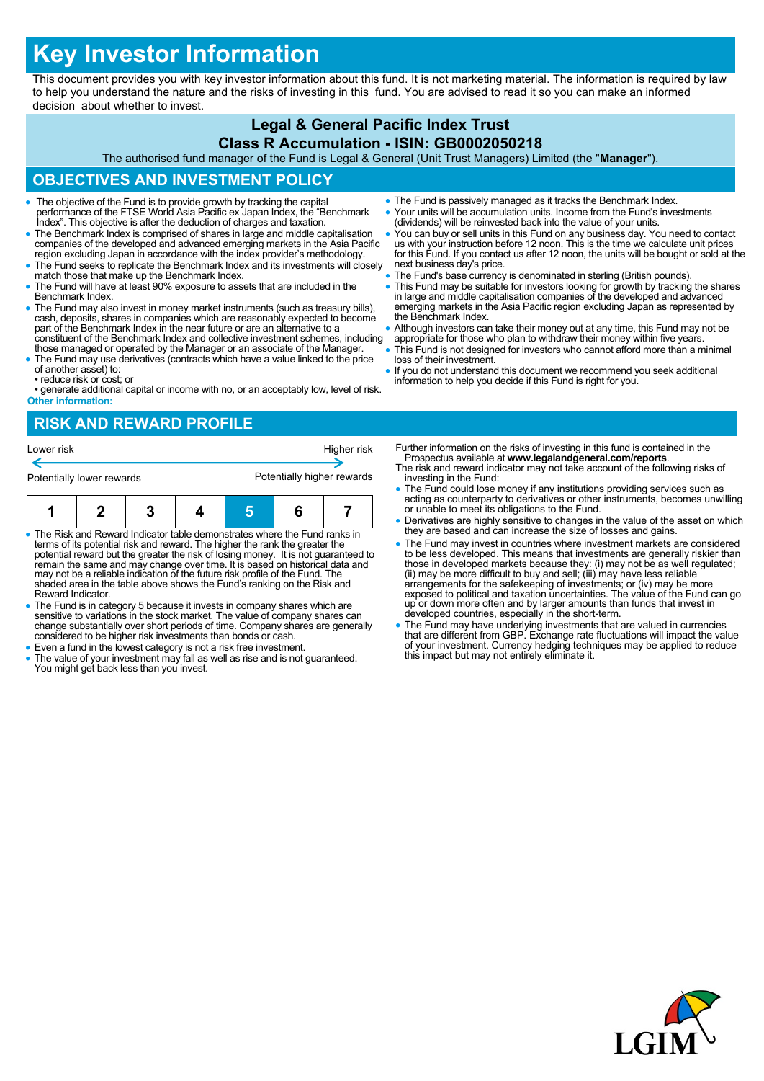# **Key Investor Information**

This document provides you with key investor information about this fund. It is not marketing material. The information is required by law to help you understand the nature and the risks of investing in this fund. You are advised to read it so you can make an informed decision about whether to invest.

# **Legal & General Pacific Index Trust**

#### **Class R Accumulation - ISIN: GB0002050218**

The authorised fund manager of the Fund is Legal & General (Unit Trust Managers) Limited (the "**Manager**").

### **OBJECTIVES AND INVESTMENT POLICY**

- The objective of the Fund is to provide growth by tracking the capital performance of the FTSE World Asia Pacific ex Japan Index, the "Benchmark Index". This objective is after the deduction of charges and taxation.
- The Benchmark Index is comprised of shares in large and middle capitalisation companies of the developed and advanced emerging markets in the Asia Pacific region excluding Japan in accordance with the index provider's methodology.
- The Fund seeks to replicate the Benchmark Index and its investments will closely match those that make up the Benchmark Index.
- The Fund will have at least 90% exposure to assets that are included in the Benchmark Index.
- The Fund may also invest in money market instruments (such as treasury bills), cash, deposits, shares in companies which are reasonably expected to become part of the Benchmark Index in the near future or are an alternat constituent of the Benchmark Index and collective investment schemes, including
- those managed or operated by the Manager or an associate of the Manager. The Fund may use derivatives (contracts which have a value linked to the price of another asset) to:
- reduce risk or cost; or

• generate additional capital or income with no, or an acceptably low, level of risk. **Other information:**

- The Fund is passively managed as it tracks the Benchmark Index. Your units will be accumulation units. Income from the Fund's investments
- (dividends) will be reinvested back into the value of your units.
- You can buy or sell units in this Fund on any business day. You need to contact us with your instruction before 12 noon. This is the time we calculate unit prices for this Fund. If you contact us after 12 noon, the units will be bought or sold at the next business day's price.
- The Fund's base currency is denominated in sterling (British pounds).
- This Fund may be suitable for investors looking for growth by tracking the shares<br>in large and middle capitalisation companies of the developed and advanced<br>emerging markets in the Asia Pacific region excluding Japan as the Benchmark Index.
- Although investors can take their money out at any time, this Fund may not be
- appropriate for those who plan to withdraw their money within five years. This Fund is not designed for investors who cannot afford more than a minimal loss of their investment.
- If you do not understand this document we recommend you seek additional information to help you decide if this Fund is right for you.

### **RISK AND REWARD PROFILE**



- The Risk and Reward Indicator table demonstrates where the Fund ranks in terms of its potential risk and reward. The higher the rank the greater the potential reward but the greater the risk of losing money. It is not guaranteed to remain the same and may change over time. It is based on historical data and may not be a reliable indication of the future risk profile of the Fund. The shaded area in the table above shows the Fund's ranking on the Risk and Reward Indicator.
- The Fund is in category 5 because it invests in company shares which are sensitive to variations in the stock market. The value of company shares can change substantially over short periods of time. Company shares are generally considered to be higher risk investments than bonds or cash.
- Even a fund in the lowest category is not a risk free investment.
- The value of your investment may fall as well as rise and is not guaranteed. You might get back less than you invest.
- Further information on the risks of investing in this fund is contained in the Prospectus available at **www.legalandgeneral.com/reports**.
- The risk and reward indicator may not take account of the following risks of investing in the Fund:
- The Fund could lose money if any institutions providing services such as acting as counterparty to derivatives or other instruments, becomes unwilling or unable to meet its obligations to the Fund.
- Derivatives are highly sensitive to changes in the value of the asset on which they are based and can increase the size of losses and gains.
- The Fund may invest in countries where investment markets are considered to be less developed. This means that investments are generally riskier than<br>those in developed markets because they: (i) may not be as well regulated;<br>(ii) may be more difficult to buy and sell; (iii) may have less reliab exposed to political and taxation uncertainties. The value of the Fund can go up or down more often and by larger amounts than funds that invest in developed countries, especially in the short-term.
- The Fund may have underlying investments that are valued in currencies that are different from GBP. Exchange rate fluctuations will impact the value of your investment. Currency hedging techniques may be applied to reduce this impact but may not entirely eliminate it.